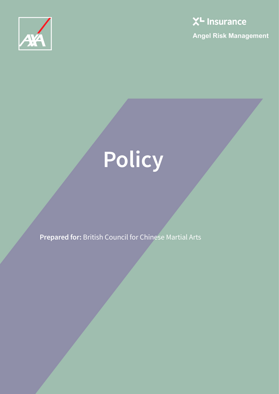



# **Policy**

**Prepared for:** British Council for Chinese Martial Arts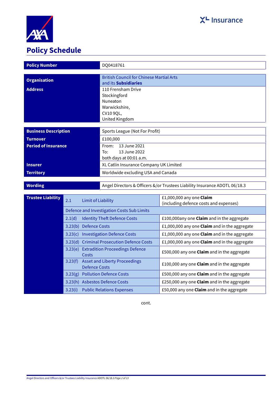

# **Policy Schedule**

| <b>Policy Number</b>        | DQ0418761                                                                  |
|-----------------------------|----------------------------------------------------------------------------|
|                             |                                                                            |
| <b>Organisation</b>         | <b>British Council for Chinese Martial Arts</b>                            |
|                             | and its Subsidiaries                                                       |
| <b>Address</b>              | 110 Frensham Drive                                                         |
|                             | Stockingford                                                               |
|                             | Nuneaton                                                                   |
|                             | Warwickshire,                                                              |
|                             | CV10 9QL,                                                                  |
|                             | United Kingdom                                                             |
|                             |                                                                            |
| <b>Business Description</b> | Sports League (Not For Profit)                                             |
| <b>Turnover</b>             | £100,000                                                                   |
| <b>Period of Insurance</b>  | From: 13 June 2021                                                         |
|                             | To:<br>13 June 2022                                                        |
|                             | both days at 00:01 a.m.                                                    |
| <b>Insurer</b>              | XL Catlin Insurance Company UK Limited                                     |
| <b>Territory</b>            | Worldwide excluding USA and Canada                                         |
|                             |                                                                            |
| <b>Wording</b>              | Angel Directors & Officers &/or Trustees Liability Insurance ADOTL 06/18.3 |
|                             |                                                                            |

| <b>Trustee Liability</b> | 2.1     | Limit of Liability                                           | £1,000,000 any one Claim<br>(including defence costs and expenses) |  |
|--------------------------|---------|--------------------------------------------------------------|--------------------------------------------------------------------|--|
|                          |         | Defence and Investigation Costs Sub Limits                   |                                                                    |  |
|                          | 2.1(d)  | <b>Identity Theft Defence Costs</b>                          | £100,000any one Claim and in the aggregate                         |  |
|                          | 3.23(b) | <b>Defence Costs</b>                                         | £1,000,000 any one <b>Claim</b> and in the aggregate               |  |
|                          | 3.23(c) | <b>Investigation Defence Costs</b>                           | £1,000,000 any one <b>Claim</b> and in the aggregate               |  |
|                          |         | 3.23(d) Criminal Prosecution Defence Costs                   | £1,000,000 any one <b>Claim</b> and in the aggregate               |  |
|                          | 3.23(e) | <b>Extradition Proceedings Defence</b><br><b>Costs</b>       | £500,000 any one <b>Claim</b> and in the aggregate                 |  |
|                          | 3.23(f) | <b>Asset and Liberty Proceedings</b><br><b>Defence Costs</b> | £100,000 any one Claim and in the aggregate                        |  |
|                          | 3.23(g) | <b>Pollution Defence Costs</b>                               | £500,000 any one Claim and in the aggregate                        |  |
|                          | 3.23(h) | <b>Asbestos Defence Costs</b>                                | £250,000 any one Claim and in the aggregate                        |  |
|                          | 3.23(i) | <b>Public Relations Expenses</b>                             | £50,000 any one Claim and in the aggregate                         |  |

cont.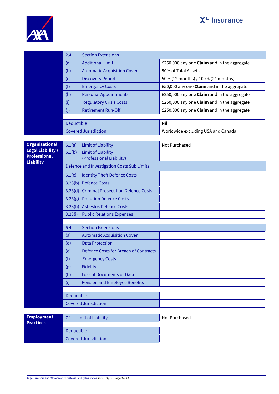



|                                         | 2.4                              | <b>Section Extensions</b>                    |                                             |  |
|-----------------------------------------|----------------------------------|----------------------------------------------|---------------------------------------------|--|
|                                         | (a)                              | <b>Additional Limit</b>                      | £250,000 any one Claim and in the aggregate |  |
|                                         | (b)                              | <b>Automatic Acquisition Cover</b>           | 50% of Total Assets                         |  |
|                                         | (e)                              | <b>Discovery Period</b>                      | 50% (12 months) / 100% (24 months)          |  |
|                                         | (f)                              | <b>Emergency Costs</b>                       | £50,000 any one Claim and in the aggregate  |  |
|                                         | (h)                              | <b>Personal Appointments</b>                 | £250,000 any one Claim and in the aggregate |  |
|                                         | (i)                              | <b>Regulatory Crisis Costs</b>               | £250,000 any one Claim and in the aggregate |  |
|                                         | (j)                              | <b>Retirement Run-Off</b>                    | £250,000 any one Claim and in the aggregate |  |
|                                         |                                  |                                              |                                             |  |
|                                         | <b>Deductible</b>                |                                              | Nil                                         |  |
|                                         |                                  | <b>Covered Jurisdiction</b>                  | Worldwide excluding USA and Canada          |  |
| <b>Organisational</b>                   | 6.1(a)                           | <b>Limit of Liability</b>                    | Not Purchased                               |  |
| <b>Legal Liability /</b>                | 6.1(b)                           | <b>Limit of Liability</b>                    |                                             |  |
| <b>Professional</b><br><b>Liability</b> |                                  | (Professional Liability)                     |                                             |  |
|                                         |                                  | Defence and Investigation Costs Sub Limits   |                                             |  |
|                                         | 6.1(c)                           | <b>Identity Theft Defence Costs</b>          |                                             |  |
|                                         |                                  | 3.23(b) Defence Costs                        |                                             |  |
|                                         |                                  | 3.23(d) Criminal Prosecution Defence Costs   |                                             |  |
|                                         |                                  | 3.23(g) Pollution Defence Costs              |                                             |  |
|                                         |                                  | 3.23(h) Asbestos Defence Costs               |                                             |  |
|                                         | 3.23(i)                          | <b>Public Relations Expenses</b>             |                                             |  |
|                                         |                                  |                                              |                                             |  |
|                                         | <b>Section Extensions</b><br>6.4 |                                              |                                             |  |
|                                         | (a)                              | <b>Automatic Acquisition Cover</b>           |                                             |  |
|                                         | (d)                              | <b>Data Protection</b>                       |                                             |  |
|                                         | (e)                              | <b>Defence Costs for Breach of Contracts</b> |                                             |  |
|                                         | (f)                              | <b>Emergency Costs</b><br><b>Fidelity</b>    |                                             |  |
|                                         | (g)<br>(h)                       | <b>Loss of Documents or Data</b>             |                                             |  |
|                                         | (i)                              | <b>Pension and Employee Benefits</b>         |                                             |  |
|                                         |                                  |                                              |                                             |  |
|                                         | <b>Deductible</b>                |                                              |                                             |  |
|                                         |                                  | <b>Covered Jurisdiction</b>                  |                                             |  |
|                                         |                                  |                                              |                                             |  |
| <b>Employment</b><br><b>Practices</b>   | 7.1                              | <b>Limit of Liability</b>                    | Not Purchased                               |  |
|                                         | Deductible                       |                                              |                                             |  |
|                                         |                                  |                                              |                                             |  |

Covered Jurisdiction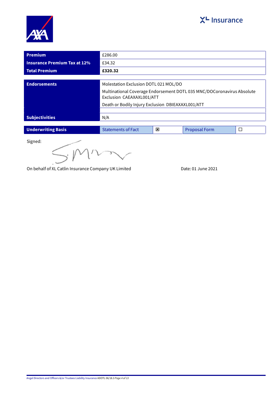



| <b>Premium</b>                                      | £286.00                                                                                             |                         |                      |        |
|-----------------------------------------------------|-----------------------------------------------------------------------------------------------------|-------------------------|----------------------|--------|
| <b>Insurance Premium Tax at 12%</b>                 | £34.32                                                                                              |                         |                      |        |
| <b>Total Premium</b>                                | £320.32                                                                                             |                         |                      |        |
|                                                     |                                                                                                     |                         |                      |        |
| <b>Endorsements</b>                                 | Molestation Exclusion DOTL 021 MOL/DO                                                               |                         |                      |        |
|                                                     | Multinational Coverage Endorsement DOTL 035 MNC/DOCoronavirus Absolute<br>Exclusion CAEAXAXL001/ATT |                         |                      |        |
|                                                     | Death or Bodily Injury Exclusion DBIEAXAXL001/ATT                                                   |                         |                      |        |
|                                                     |                                                                                                     |                         |                      |        |
| <b>Subjectivities</b>                               | N/A                                                                                                 |                         |                      |        |
|                                                     |                                                                                                     |                         |                      |        |
| <b>Underwriting Basis</b>                           | <b>Statements of Fact</b>                                                                           | $\overline{\mathbf{x}}$ | <b>Proposal Form</b> | $\Box$ |
| Signed:<br>$\bigwedge$ $\bigwedge$<br>$\sim$ $\sim$ |                                                                                                     |                         |                      |        |

 $S$ M $n$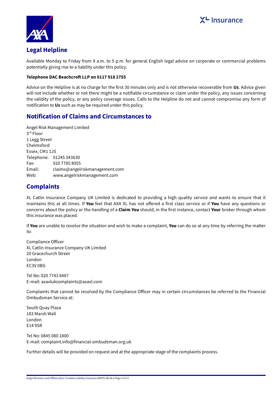

## **Legal Helpline**

Available Monday to Friday from 9 a.m. to 5 p.m. for general English legal advice on corporate or commercial problems potentially giving rise to a liability under this policy.

## **Telephone DAC Beachcroft LLP on 0117 918 2755**

Advice on the Helpline is at no charge for the first 30 minutes only and is not otherwise recoverable from **Us**. Advice given will not include whether or not there might be a notifiable circumstance or claim under the policy, any issues concerning the validity of the policy, or any policy coverage issues. Calls to the Helpline do not and cannot compromise any form of notification to **Us** such as may be required under this policy.

## **Notification of Claims and Circumstances to**

Angel Risk Management Limited 3 rd Floor 1 Legg Street Chelmsford Essex, CM1 1JS Telephone: 01245 343630 Fax: 020 7785 8055 Email: claims@angelriskmanagement.com Web: www.angelriskmanagement.com

# **Complaints**

XL Catlin Insurance Company UK Limited is dedicated to providing a high quality service and wants to ensure that it maintains this at all times. If **You** feel that AXA XL has not offered a first class service or if **You** have any questions or concerns about the policy or the handling of a **Claim You** should, in the first instance, contact **Your** broker through whom this insurance was placed.

If **You** are unable to resolve the situation and wish to make a complaint, **You** can do so at any time by referring the matter to:

Compliance Officer XL Catlin Insurance Company UK Limited 20 Gracechurch Street London EC3V 0BG

Tel No: 020 7743 8487 E-mail: axaxlukcomplaints@axaxl.com

Complaints that cannot be resolved by the Compliance Officer may in certain circumstances be referred to the Financial Ombudsman Service at:

South Quay Plaza 183 Marsh Wall London E14 9SR

Tel No: 0845 080 1800 E-mail: complaint.info@financial-ombudsman.org.uk

Further details will be provided on request and at the appropriate stage of the complaints process.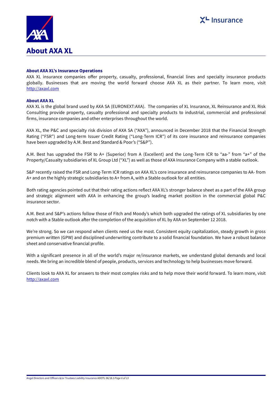

## **About AXA XL's Insurance Operations**

AXA XL insurance companies offer property, casualty, professional, financial lines and specialty insurance products globally. Businesses that are moving the world forward choose AXA XL as their partner. To learn more, visit <http://axaxl.com>

## **About AXA XL**

AXA XL is the global brand used by AXA SA (EURONEXT:AXA). The companies of XL Insurance, XL Reinsurance and XL Risk Consulting provide property, casualty professional and specialty products to industrial, commercial and professional firms, insurance companies and other enterprises throughout the world.

AXA XL, the P&C and specialty risk division of AXA SA ("AXA"), announced in December 2018 that the Financial Strength Rating ("FSR") and Long-term Issuer Credit Rating ("Long-Term ICR") of its core insurance and reinsurance companies have been upgraded by A.M. Best and Standard & Poor's ("S&P").

A.M. Best has upgraded the FSR to A+ (Superior) from A (Excellent) and the Long-Term ICR to "aa-" from "a+" of the Property/Casualty subsidiaries of XL Group Ltd ("XL") as well as those of AXA Insurance Company with a stable outlook.

S&P recently raised the FSR and Long-Term ICR ratings on AXA XL's core insurance and reinsurance companies to AA- from A+ and on the highly strategic subsidiaries to A+ from A, with a Stable outlook for all entities.

Both rating agencies pointed out that their rating actions reflect AXA XL's stronger balance sheet as a part of the AXA group and strategic alignment with AXA in enhancing the group's leading market position in the commercial global P&C insurance sector.

A.M. Best and S&P's actions follow those of Fitch and Moody's which both upgraded the ratings of XL subsidiaries by one notch with a Stable outlook after the completion of the acquisition of XL by AXA on September 12 2018.

We're strong. So we can respond when clients need us the most. Consistent equity capitalization, steady growth in gross premium written (GPW) and disciplined underwriting contribute to a solid financial foundation. We have a robust balance sheet and conservative financial profile.

With a significant presence in all of the world's major re/insurance markets, we understand global demands and local needs. We bring an incredible blend of people, products, services and technology to help businesses move forward.

Clients look to AXA XL for answers to their most complex risks and to help move their world forward. To learn more, visit <http://axaxl.com>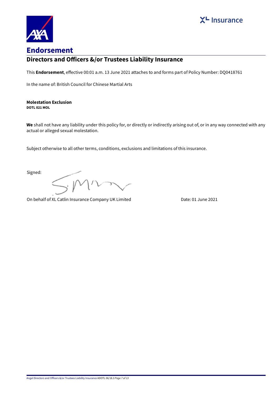



# **Directors and Officers &/or Trustees Liability Insurance**

This **Endorsement**, effective 00:01 a.m. 13 June 2021 attaches to and forms part of Policy Number: DQ0418761

In the name of: British Council for Chinese Martial Arts

#### **Molestation Exclusion DOTL 021 MOL**

**We** shall not have any liability under this policy for, or directly or indirectly arising out of, or in any way connected with any actual or alleged sexual molestation.

Subject otherwise to all other terms, conditions, exclusions and limitations of this insurance.

Signed:

On behalf of XL Catlin Insurance Company UK Limited Date: 01 June 2021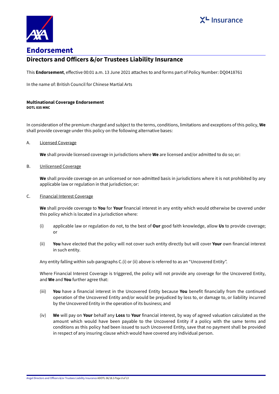



## **Directors and Officers &/or Trustees Liability Insurance**

This **Endorsement**, effective 00:01 a.m. 13 June 2021 attaches to and forms part of Policy Number: DQ0418761

In the name of: British Council for Chinese Martial Arts

#### **Multinational Coverage Endorsement DOTL 035 MNC**

In consideration of the premium charged and subject to the terms, conditions, limitations and exceptions of this policy, **We** shall provide coverage under this policy on the following alternative bases:

A. Licensed Coverage

**We** shall provide licensed coverage in jurisdictions where **We** are licensed and/or admitted to do so; or:

B. Unlicensed Coverage

**We** shall provide coverage on an unlicensed or non-admitted basis in jurisdictions where it is not prohibited by any applicable law or regulation in that jurisdiction; or:

### C. Financial Interest Coverage

**We** shall provide coverage to **You** for **Your** financial interest in any entity which would otherwise be covered under this policy which is located in a jurisdiction where:

- (i) applicable law or regulation do not, to the best of **Our** good faith knowledge, allow **Us** to provide coverage; or
- (ii) **You** have elected that the policy will not cover such entity directly but will cover **Your** own financial interest in such entity.

Any entity falling within sub-paragraphs C.(i) or (ii) above is referred to as an "Uncovered Entity".

Where Financial Interest Coverage is triggered, the policy will not provide any coverage for the Uncovered Entity, and **We** and **You** further agree that:

- (iii) **You** have a financial interest in the Uncovered Entity because **You** benefit financially from the continued operation of the Uncovered Entity and/or would be prejudiced by loss to, or damage to, or liability incurred by the Uncovered Entity in the operation of its business; and
- (iv) **We** will pay on **Your** behalf any **Loss** to **Your** financial interest, by way of agreed valuation calculated as the amount which would have been payable to the Uncovered Entity if a policy with the same terms and conditions as this policy had been issued to such Uncovered Entity, save that no payment shall be provided in respect of any insuring clause which would have covered any individual person.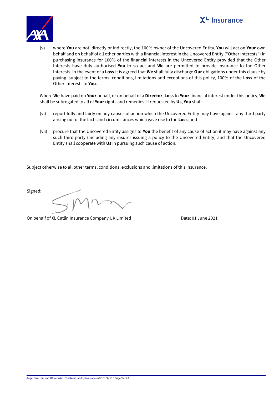



(v) where **You** are not, directly or indirectly, the 100% owner of the Uncovered Entity, **You** will act on **Your** own behalf and on behalf of all other parties with a financial interest in the Uncovered Entity ("Other Interests") in purchasing insurance for 100% of the financial interests in the Uncovered Entity provided that the Other Interests have duly authorised **You** to so act and **We** are permitted to provide insurance to the Other Interests. In the event of a **Loss** it is agreed that **We** shall fully discharge **Our** obligations under this clause by paying, subject to the terms, conditions, limitations and exceptions of this policy, 100% of the **Loss** of the Other Interests to **You**.

Where **We** have paid on **Your** behalf, or on behalf of a **Director**, **Loss** to **Your** financial interest under this policy, **We** shall be subrogated to all of **Your** rights and remedies. If requested by **Us**, **You** shall:

- (vi) report fully and fairly on any causes of action which the Uncovered Entity may have against any third party arising out of the facts and circumstances which gave rise to the **Loss**; and
- (vii) procure that the Uncovered Entity assigns to **You** the benefit of any cause of action it may have against any such third party (including any insurer issuing a policy to the Uncovered Entity) and that the Uncovered Entity shall cooperate with **Us** in pursuing such cause of action.

Subject otherwise to all other terms, conditions, exclusions and limitations of this insurance.

Signed: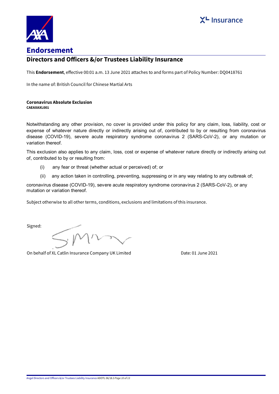



## **Directors and Officers &/or Trustees Liability Insurance**

This **Endorsement**, effective 00:01 a.m. 13 June 2021 attaches to and forms part of Policy Number: DQ0418761

In the name of: British Council for Chinese Martial Arts

#### **Coronavirus Absolute Exclusion CAEAXAXL001**

Notwithstanding any other provision, no cover is provided under this policy for any claim, loss, liability, cost or expense of whatever nature directly or indirectly arising out of, contributed to by or resulting from coronavirus disease (COVID-19), severe acute respiratory syndrome coronavirus 2 (SARS-CoV-2), or any mutation or variation thereof.

This exclusion also applies to any claim, loss, cost or expense of whatever nature directly or indirectly arising out of, contributed to by or resulting from:

- (i) any fear or threat (whether actual or perceived) of; or
- (ii) any action taken in controlling, preventing, suppressing or in any way relating to any outbreak of;

coronavirus disease (COVID-19), severe acute respiratory syndrome coronavirus 2 (SARS-CoV-2), or any mutation or variation thereof.

Subject otherwise to all other terms, conditions, exclusions and limitations of this insurance.

Signed: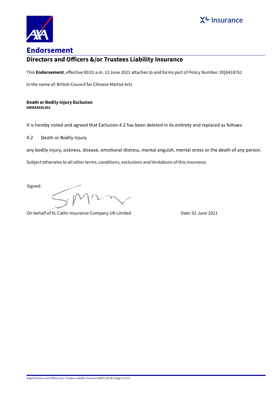



## **Directors and Officers &/or Trustees Liability Insurance**

This **Endorsement**, effective 00:01 a.m. 13 June 2021 attaches to and forms part of Policy Number: DQ0418761

In the name of: British Council for Chinese Martial Arts

#### **Death or Bodily Injury Exclusion DBIEAXAXL001**

It is hereby noted and agreed that Exclusion 4.2 has been deleted in its entirety and replaced as follows:

4.2 Death or Bodily Injury

any bodily injury, sickness, disease, emotional distress, mental anguish, mental stress or the death of any person.

Subject otherwise to all other terms, conditions, exclusions and limitations of this insurance.

Signed:

 $\mathcal{W}$ Y.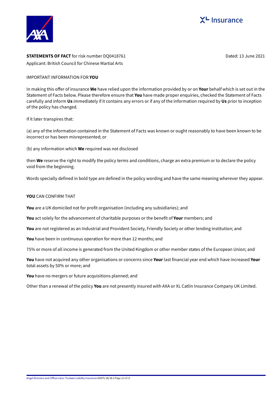



## **STATEMENTS OF FACT** for risk number DQ0418761 **Dated: 13 June 2021** Dated: 13 June 2021 Applicant: British Council for Chinese Martial Arts

## IMPORTANT INFORMATION FOR **YOU**

In making this offer of insurance **We** have relied upon the information provided by or on **Your** behalf which is set out in the Statement of Facts below. Please therefore ensure that **You** have made proper enquiries, checked the Statement of Facts carefully and inform **Us** immediately if it contains any errors or if any of the information required by **Us** prior to inception of the policy has changed.

If it later transpires that:

(a) any of the information contained in the Statement of Facts was known or ought reasonably to have been known to be incorrect or has been misrepresented; or

(b) any information which **We** required was not disclosed

then **We** reserve the right to modify the policy terms and conditions, charge an extra premium or to declare the policy void from the beginning.

Words specially defined in bold type are defined in the policy wording and have the same meaning wherever they appear.

## **YOU** CAN CONFIRM THAT

**You** are a UK domiciled not for profit organisation (including any subsidiaries); and

**You** act solely for the advancement of charitable purposes or the benefit of **Your** members; and

**You** are not registered as an Industrial and Provident Society, Friendly Society or other lending institution; and

**You** have been in continuous operation for more than 12 months; and

75% or more of all income is generated from the United Kingdom or other member states of the European Union; and

**You** have not acquired any other organisations or concerns since **Your** last financial year end which have increased **Your** total assets by 50% or more; and

**You** have no mergers or future acquisitions planned; and

Other than a renewal of the policy **You** are not presently insured with AXA or XL Catlin Insurance Company UK Limited.